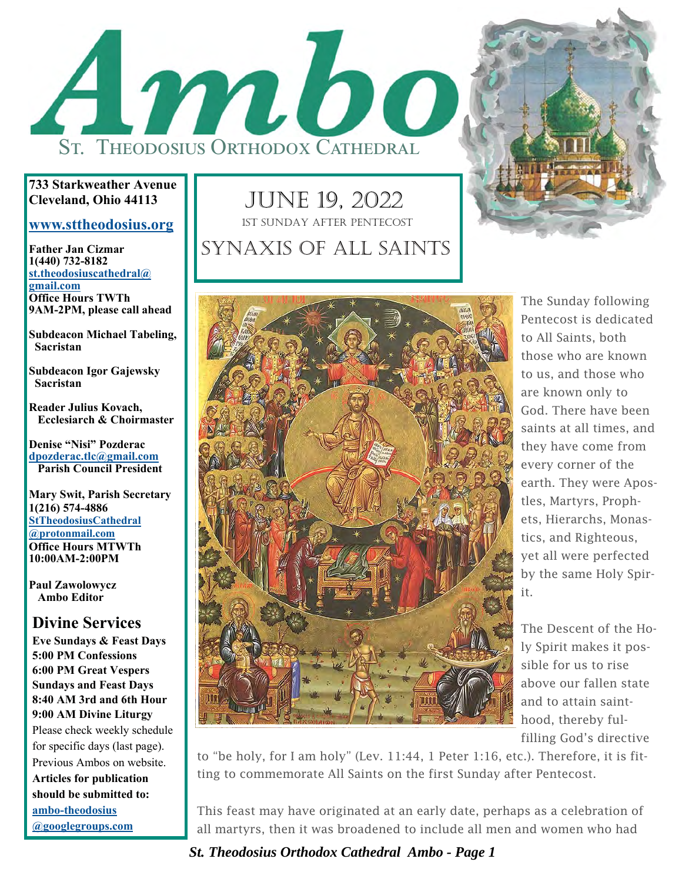

#### **733 Starkweather Avenue Cleveland, Ohio 44113**

#### **www.sttheodosius.org**

**Father Jan Cizmar 1(440) 732-8182 st.theodosiuscathedral@ gmail.com Office Hours TWTh 9AM-2PM, please call ahead** 

**Subdeacon Michael Tabeling, Sacristan** 

**Subdeacon Igor Gajewsky Sacristan** 

**Reader Julius Kovach, Ecclesiarch & Choirmaster** 

**Denise "Nisi" Pozderac dpozderac.tlc@gmail.com Parish Council President** 

**Mary Swit, Parish Secretary 1(216) 574-4886 StTheodosiusCathedral @protonmail.com Office Hours MTWTh 10:00AM-2:00PM** 

**Paul Zawolowycz Ambo Editor** 

#### **Divine Services**

**Eve Sundays & Feast Days 5:00 PM Confessions 6:00 PM Great Vespers Sundays and Feast Days 8:40 AM 3rd and 6th Hour 9:00 AM Divine Liturgy**  Please check weekly schedule for specific days (last page). Previous Ambos on website. **Articles for publication should be submitted to: ambo-theodosius** 

**@googlegroups.com**

## JUNE 19, 2022 SYNAXIS OF ALL SAINTS 1ST SUNDAY AFTER PENTECOST



The Sunday following Pentecost is dedicated to All Saints, both those who are known to us, and those who are known only to God. There have been saints at all times, and they have come from every corner of the earth. They were Apostles, Martyrs, Prophets, Hierarchs, Monastics, and Righteous, yet all were perfected by the same Holy Spirit.

The Descent of the Holy Spirit makes it possible for us to rise above our fallen state and to attain sainthood, thereby fulfilling God's directive

to "be holy, for I am holy" (Lev. 11:44, 1 Peter 1:16, etc.). Therefore, it is fitting to commemorate All Saints on the first Sunday after Pentecost.

This feast may have originated at an early date, perhaps as a celebration of all martyrs, then it was broadened to include all men and women who had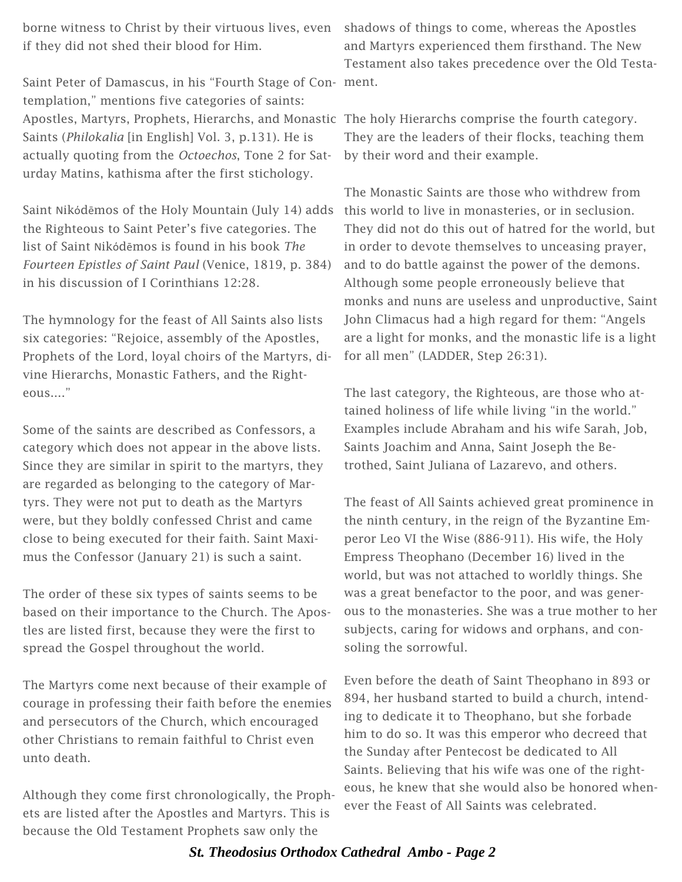borne witness to Christ by their virtuous lives, even shadows of things to come, whereas the Apostles if they did not shed their blood for Him.

Saint Peter of Damascus, in his "Fourth Stage of Con-ment. templation," mentions five categories of saints: Apostles, Martyrs, Prophets, Hierarchs, and Monastic The holy Hierarchs comprise the fourth category. Saints (*Philokalia* [in English] Vol. 3, p.131). He is actually quoting from the *Octoechos*, Tone 2 for Saturday Matins, kathisma after the first stichology.

Saint Νikόdēmos of the Holy Mountain (July 14) adds the Righteous to Saint Peter's five categories. The list of Saint Νikόdēmos is found in his book *The Fourteen Epistles of Saint Paul* (Venice, 1819, p. 384) in his discussion of I Corinthians 12:28.

The hymnology for the feast of All Saints also lists six categories: "Rejoice, assembly of the Apostles, Prophets of the Lord, loyal choirs of the Martyrs, divine Hierarchs, Monastic Fathers, and the Righteous...."

Some of the saints are described as Confessors, a category which does not appear in the above lists. Since they are similar in spirit to the martyrs, they are regarded as belonging to the category of Martyrs. They were not put to death as the Martyrs were, but they boldly confessed Christ and came close to being executed for their faith. Saint Maximus the Confessor (January 21) is such a saint.

The order of these six types of saints seems to be based on their importance to the Church. The Apostles are listed first, because they were the first to spread the Gospel throughout the world.

The Martyrs come next because of their example of courage in professing their faith before the enemies and persecutors of the Church, which encouraged other Christians to remain faithful to Christ even unto death.

Although they come first chronologically, the Prophets are listed after the Apostles and Martyrs. This is because the Old Testament Prophets saw only the

and Martyrs experienced them firsthand. The New Testament also takes precedence over the Old Testa-

They are the leaders of their flocks, teaching them by their word and their example.

The Monastic Saints are those who withdrew from this world to live in monasteries, or in seclusion. They did not do this out of hatred for the world, but in order to devote themselves to unceasing prayer, and to do battle against the power of the demons. Although some people erroneously believe that monks and nuns are useless and unproductive, Saint John Climacus had a high regard for them: "Angels are a light for monks, and the monastic life is a light for all men" (LADDER, Step 26:31).

The last category, the Righteous, are those who attained holiness of life while living "in the world." Examples include Abraham and his wife Sarah, Job, Saints Joachim and Anna, Saint Joseph the Betrothed, Saint Juliana of Lazarevo, and others.

The feast of All Saints achieved great prominence in the ninth century, in the reign of the Byzantine Emperor Leo VI the Wise (886-911). His wife, the Holy Empress Theophano (December 16) lived in the world, but was not attached to worldly things. She was a great benefactor to the poor, and was generous to the monasteries. She was a true mother to her subjects, caring for widows and orphans, and consoling the sorrowful.

Even before the death of Saint Theophano in 893 or 894, her husband started to build a church, intending to dedicate it to Theophano, but she forbade him to do so. It was this emperor who decreed that the Sunday after Pentecost be dedicated to All Saints. Believing that his wife was one of the righteous, he knew that she would also be honored whenever the Feast of All Saints was celebrated.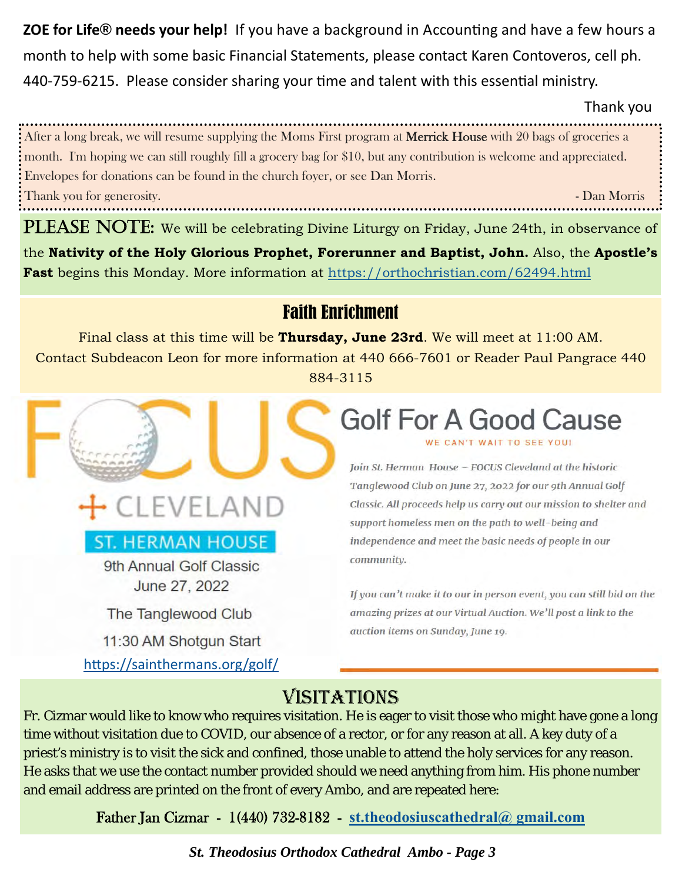**ZOE for Life<sup>®</sup> needs your help!** If you have a background in Accounting and have a few hours a month to help with some basic Financial Statements, please contact Karen Contoveros, cell ph. 440-759-6215. Please consider sharing your time and talent with this essential ministry.

Thank you

After a long break, we will resume supplying the Moms First program at Merrick House with 20 bags of groceries a month. I'm hoping we can still roughly fill a grocery bag for \$10, but any contribution is welcome and appreciated. Envelopes for donations can be found in the church foyer, or see Dan Morris. Thank you for generosity. - Dan Morris

PLEASE NOTE: We will be celebrating Divine Liturgy on Friday, June 24th, in observance of the **Nativity of the Holy Glorious Prophet, Forerunner and Baptist, John.** Also, the **Apostle's Fast** begins this Monday. More information at https://orthochristian.com/62494.html

## Faith Enrichment

Final class at this time will be **Thursday, June 23rd**. We will meet at 11:00 AM. Contact Subdeacon Leon for more information at 440 666-7601 or Reader Paul Pangrace 440 884-3115

## **ST. HERMAN HOUSE**

CLEVELAND

9th Annual Golf Classic June 27, 2022

The Tanglewood Club

11:30 AM Shotgun Start https://sainthermans.org/golf/

## **Golf For A Good Cause** WE CAN'T WAIT TO SEE YOU!

Join St. Herman House - FOCUS Cleveland at the historic Tanglewood Club on June 27, 2022 for our 9th Annual Golf Classic. All proceeds help us carry out our mission to shelter and support homeless men on the path to well-being and independence and meet the basic needs of people in our community.

If you can't make it to our in person event, you can still bid on the amazing prizes at our Virtual Auction. We'll post a link to the auction items on Sunday, June 19.

# VISITATIONS

Fr. Cizmar would like to know who requires visitation. He is eager to visit those who might have gone a long time without visitation due to COVID, our absence of a rector, or for any reason at all. A key duty of a priest's ministry is to visit the sick and confined, those unable to attend the holy services for any reason. He asks that we use the contact number provided should we need anything from him. His phone number and email address are printed on the front of every Ambo, and are repeated here:

Father Jan Cizmar - 1(440) 732-8182 - **st.theodosiuscathedral@ gmail.com**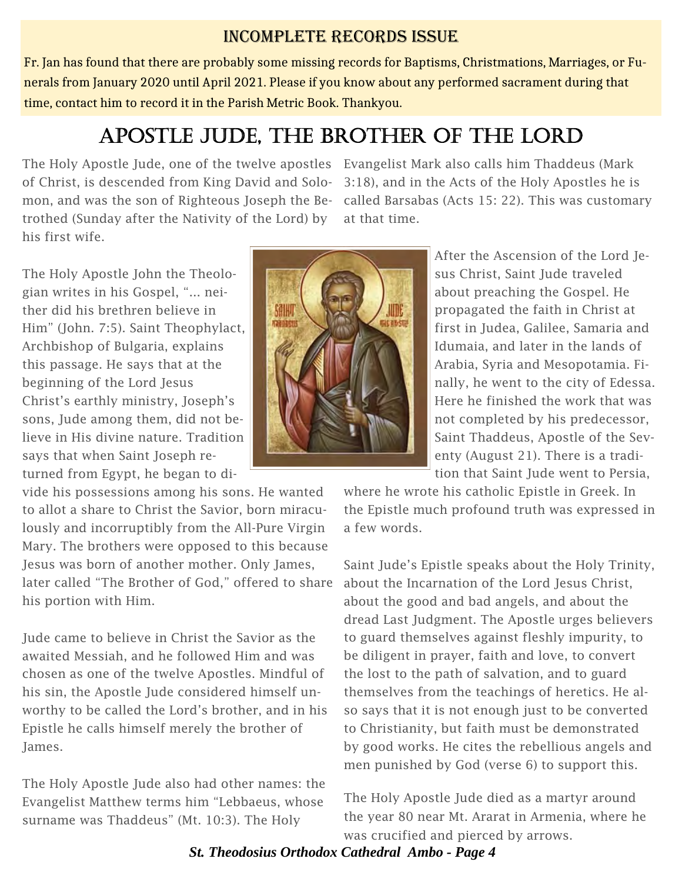### INCOMPLETE RECORDS ISSUE

Fr. Jan has found that there are probably some missing records for Baptisms, Christmations, Marriages, or Funerals from January 2020 until April 2021. Please if you know about any performed sacrament during that time, contact him to record it in the Parish Metric Book. Thankyou.

# APOSTLE JUDE, THE BROTHER OF THE LORD

The Holy Apostle Jude, one of the twelve apostles Evangelist Mark also calls him Thaddeus (Mark of Christ, is descended from King David and Solomon, and was the son of Righteous Joseph the Betrothed (Sunday after the Nativity of the Lord) by his first wife.

3:18), and in the Acts of the Holy Apostles he is called Barsabas (Acts 15: 22). This was customary at that time.

The Holy Apostle John the Theologian writes in his Gospel, "... neither did his brethren believe in Him" (John. 7:5). Saint Theophylact, Archbishop of Bulgaria, explains this passage. He says that at the beginning of the Lord Jesus Christ's earthly ministry, Joseph's sons, Jude among them, did not believe in His divine nature. Tradition says that when Saint Joseph returned from Egypt, he began to di-

vide his possessions among his sons. He wanted to allot a share to Christ the Savior, born miraculously and incorruptibly from the All-Pure Virgin Mary. The brothers were opposed to this because Jesus was born of another mother. Only James, later called "The Brother of God," offered to share his portion with Him.

Jude came to believe in Christ the Savior as the awaited Messiah, and he followed Him and was chosen as one of the twelve Apostles. Mindful of his sin, the Apostle Jude considered himself unworthy to be called the Lord's brother, and in his Epistle he calls himself merely the brother of James.

The Holy Apostle Jude also had other names: the Evangelist Matthew terms him "Lebbaeus, whose surname was Thaddeus" (Mt. 10:3). The Holy



After the Ascension of the Lord Jesus Christ, Saint Jude traveled about preaching the Gospel. He propagated the faith in Christ at first in Judea, Galilee, Samaria and Idumaia, and later in the lands of Arabia, Syria and Mesopotamia. Finally, he went to the city of Edessa. Here he finished the work that was not completed by his predecessor, Saint Thaddeus, Apostle of the Seventy (August 21). There is a tradition that Saint Jude went to Persia,

where he wrote his catholic Epistle in Greek. In the Epistle much profound truth was expressed in a few words.

Saint Jude's Epistle speaks about the Holy Trinity, about the Incarnation of the Lord Jesus Christ, about the good and bad angels, and about the dread Last Judgment. The Apostle urges believers to guard themselves against fleshly impurity, to be diligent in prayer, faith and love, to convert the lost to the path of salvation, and to guard themselves from the teachings of heretics. He also says that it is not enough just to be converted to Christianity, but faith must be demonstrated by good works. He cites the rebellious angels and men punished by God (verse 6) to support this.

The Holy Apostle Jude died as a martyr around the year 80 near Mt. Ararat in Armenia, where he was crucified and pierced by arrows.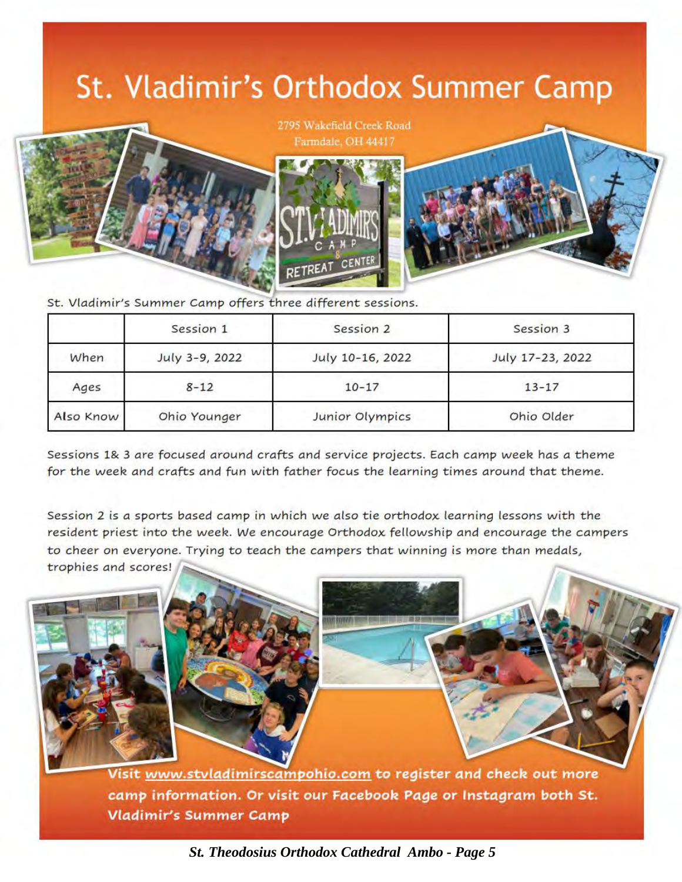# St. Vladimir's Orthodox Summer Camp



2795 Wakefield Creek Road Farmdale, OH 44417



St. Vladimir's Summer Camp offers three different sessions.

|           | Session 1      | Session 2        | Session 3        |
|-----------|----------------|------------------|------------------|
| When      | July 3-9, 2022 | July 10-16, 2022 | July 17-23, 2022 |
| Ages      | $8 - 12$       | $10 - 17$        | $13 - 17$        |
| Also Know | Ohio Younger   | Junior Olympics  | Ohio Older       |

Sessions 1& 3 are focused around crafts and service projects. Each camp week has a theme for the week and crafts and fun with father focus the learning times around that theme.

Session 2 is *a* sports *based camp* in which we *also* tie orthodox learning lessons with the resident priest into the week. We encourage Orthodox fellowship and encourage the campers to cheer on everyone. Trying to teach the *campers* that winning is *more* than *medals,*  trophies *and* scores!

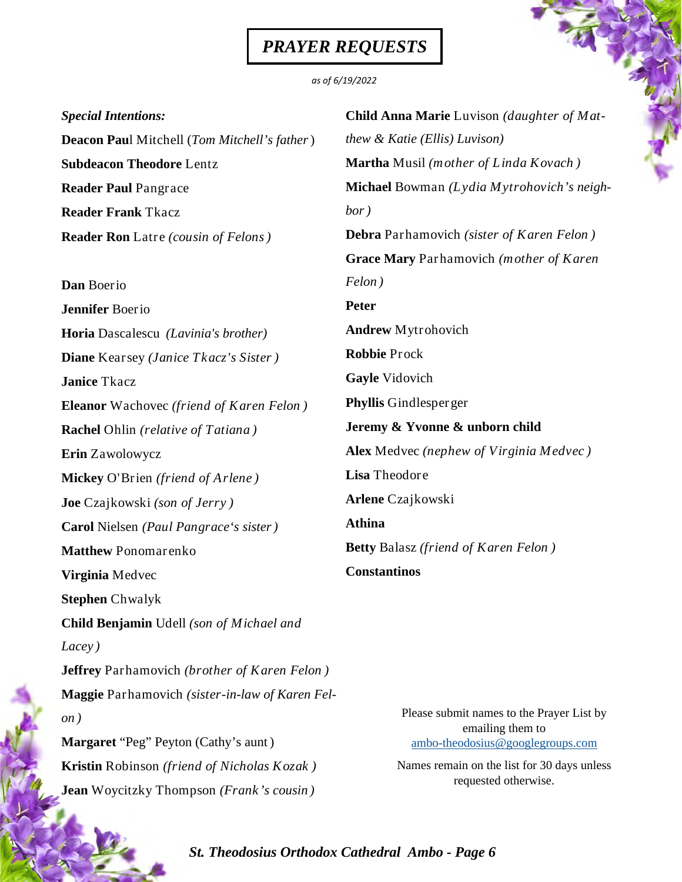# *PRAYER REQUESTS*

#### *as of 6/19/2022*

| <b>Special Intentions:</b>                          | Child Anna Marie Luvison (daughter of Mat-                    |  |
|-----------------------------------------------------|---------------------------------------------------------------|--|
| <b>Deacon Paul Mitchell (Tom Mitchell's father)</b> | thew & Katie (Ellis) Luvison)                                 |  |
| <b>Subdeacon Theodore Lentz</b>                     | <b>Martha</b> Musil (mother of Linda Kovach)                  |  |
| <b>Reader Paul Pangrace</b>                         | Michael Bowman (Lydia Mytrohovich's neigh-                    |  |
| <b>Reader Frank Tkacz</b>                           | bor)                                                          |  |
| <b>Reader Ron</b> Latre (cousin of Felons)          | <b>Debra</b> Parhamovich (sister of Karen Felon)              |  |
|                                                     | Grace Mary Parhamovich (mother of Karen                       |  |
| Dan Boerio                                          | Felon)                                                        |  |
| Jennifer Boerio                                     | <b>Peter</b>                                                  |  |
| Horia Dascalescu (Lavinia's brother)                | <b>Andrew Mytrohovich</b>                                     |  |
| Diane Kearsey (Janice Tkacz's Sister)               | <b>Robbie Prock</b>                                           |  |
| <b>Janice Tkacz</b>                                 | <b>Gayle Vidovich</b>                                         |  |
| <b>Eleanor</b> Wachovec (friend of Karen Felon)     | <b>Phyllis</b> Gindlesperger                                  |  |
| <b>Rachel</b> Ohlin (relative of Tatiana)           | Jeremy & Yvonne & unborn child                                |  |
| Erin Zawolowycz                                     | Alex Medvec (nephew of Virginia Medvec)                       |  |
| Mickey O'Brien (friend of Arlene)                   | Lisa Theodore                                                 |  |
| Joe Czajkowski (son of Jerry)                       | <b>Arlene</b> Czajkowski                                      |  |
| Carol Nielsen (Paul Pangrace's sister)              | <b>Athina</b>                                                 |  |
| <b>Matthew Ponomarenko</b>                          | <b>Betty</b> Balasz (friend of Karen Felon)                   |  |
| Virginia Medvec                                     | <b>Constantinos</b>                                           |  |
| <b>Stephen</b> Chwalyk                              |                                                               |  |
| <b>Child Benjamin</b> Udell (son of Michael and     |                                                               |  |
| Lacey)                                              |                                                               |  |
| <b>Jeffrey</b> Parhamovich (brother of Karen Felon) |                                                               |  |
| Maggie Parhamovich (sister-in-law of Karen Fel-     |                                                               |  |
| on)                                                 | Please submit names to the Prayer List by<br>emailing them to |  |
| Margaret "Peg" Peyton (Cathy's aunt)                | ambo-theodosius@googlegroups.com                              |  |
| <b>Kristin</b> Robinson (friend of Nicholas Kozak)  | Names remain on the list for 30 days unless                   |  |
| Jean Woycitzky Thompson (Frank's cousin)            | requested otherwise.                                          |  |